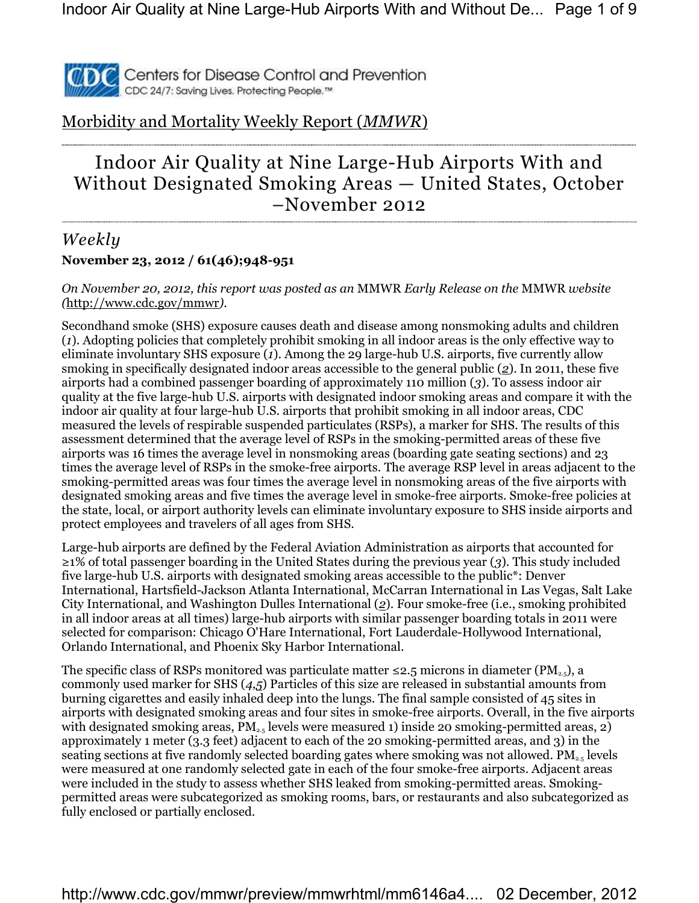

# Morbidity and Mortality Weekly Report (*MMWR*)

# Indoor Air Quality at Nine Large-Hub Airports With and Without Designated Smoking Areas — United States, October –November 2012

### *Weekly* **November 23, 2012 / 61(46);948-951**

*On November 20, 2012, this report was posted as an* MMWR *Early Release on the* MMWR *website (*http://www.cdc.gov/mmwr*).*

Secondhand smoke (SHS) exposure causes death and disease among nonsmoking adults and children (*1*). Adopting policies that completely prohibit smoking in all indoor areas is the only effective way to eliminate involuntary SHS exposure (*1*). Among the 29 large-hub U.S. airports, five currently allow smoking in specifically designated indoor areas accessible to the general public (*2*). In 2011, these five airports had a combined passenger boarding of approximately 110 million (*3*). To assess indoor air quality at the five large-hub U.S. airports with designated indoor smoking areas and compare it with the indoor air quality at four large-hub U.S. airports that prohibit smoking in all indoor areas, CDC measured the levels of respirable suspended particulates (RSPs), a marker for SHS. The results of this assessment determined that the average level of RSPs in the smoking-permitted areas of these five airports was 16 times the average level in nonsmoking areas (boarding gate seating sections) and 23 times the average level of RSPs in the smoke-free airports. The average RSP level in areas adjacent to the smoking-permitted areas was four times the average level in nonsmoking areas of the five airports with designated smoking areas and five times the average level in smoke-free airports. Smoke-free policies at the state, local, or airport authority levels can eliminate involuntary exposure to SHS inside airports and protect employees and travelers of all ages from SHS.

Large-hub airports are defined by the Federal Aviation Administration as airports that accounted for ≥1% of total passenger boarding in the United States during the previous year (*3*). This study included five large-hub U.S. airports with designated smoking areas accessible to the public\*: Denver International, Hartsfield-Jackson Atlanta International, McCarran International in Las Vegas, Salt Lake City International, and Washington Dulles International (*2*). Four smoke-free (i.e., smoking prohibited in all indoor areas at all times) large-hub airports with similar passenger boarding totals in 2011 were selected for comparison: Chicago O'Hare International, Fort Lauderdale-Hollywood International, Orlando International, and Phoenix Sky Harbor International.

The specific class of RSPs monitored was particulate matter  $\leq 2.5$  microns in diameter (PM<sub>2.5</sub>), a commonly used marker for SHS (*4,5*) Particles of this size are released in substantial amounts from burning cigarettes and easily inhaled deep into the lungs. The final sample consisted of 45 sites in airports with designated smoking areas and four sites in smoke-free airports. Overall, in the five airports with designated smoking areas,  $PM_{2.5}$  levels were measured 1) inside 20 smoking-permitted areas, 2) approximately 1 meter (3.3 feet) adjacent to each of the 20 smoking-permitted areas, and 3) in the seating sections at five randomly selected boarding gates where smoking was not allowed. PM<sub>2.5</sub> levels were measured at one randomly selected gate in each of the four smoke-free airports. Adjacent areas were included in the study to assess whether SHS leaked from smoking-permitted areas. Smokingpermitted areas were subcategorized as smoking rooms, bars, or restaurants and also subcategorized as fully enclosed or partially enclosed.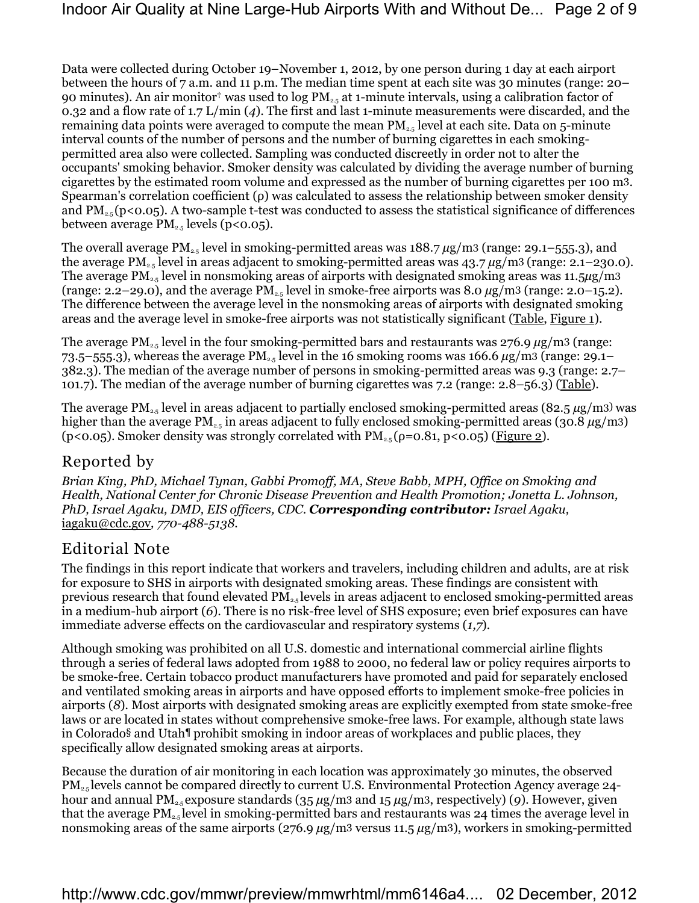Data were collected during October 19–November 1, 2012, by one person during 1 day at each airport between the hours of 7 a.m. and 11 p.m. The median time spent at each site was 30 minutes (range: 20– 90 minutes). An air monitor<sup>†</sup> was used to log PM<sub>2.5</sub> at 1-minute intervals, using a calibration factor of 0.32 and a flow rate of 1.7 L/min (*4*). The first and last 1-minute measurements were discarded, and the remaining data points were averaged to compute the mean  $PM_{2.5}$  level at each site. Data on 5-minute interval counts of the number of persons and the number of burning cigarettes in each smokingpermitted area also were collected. Sampling was conducted discreetly in order not to alter the occupants' smoking behavior. Smoker density was calculated by dividing the average number of burning cigarettes by the estimated room volume and expressed as the number of burning cigarettes per 100 m3. Spearman's correlation coefficient (ρ) was calculated to assess the relationship between smoker density and PM2.5 (p<0.05). A two-sample t*-*test was conducted to assess the statistical significance of differences between average  $PM_{2.5}$  levels (p<0.05).

The overall average PM<sub>2.5</sub> level in smoking-permitted areas was 188.7 μg/m3 (range: 29.1–555.3), and the average PM<sub>2.5</sub> level in areas adjacent to smoking-permitted areas was  $43.7 \,\mu g/m3$  (range: 2.1–230.0). The average PM<sub>2.5</sub> level in nonsmoking areas of airports with designated smoking areas was 11.5µg/m3 (range: 2.2–29.0), and the average  $PM_{2.5}$  level in smoke-free airports was 8.0  $\mu$ g/m<sup>3</sup> (range: 2.0–15.2). The difference between the average level in the nonsmoking areas of airports with designated smoking areas and the average level in smoke-free airports was not statistically significant (Table, Figure 1).

The average  $PM_{2.5}$  level in the four smoking-permitted bars and restaurants was  $276.9 \mu g/m3$  (range: 73.5–555.3), whereas the average PM<sub>2.5</sub> level in the 16 smoking rooms was 166.6  $\mu$ g/m<sup>3</sup> (range: 29.1– 382.3). The median of the average number of persons in smoking-permitted areas was 9.3 (range: 2.7– 101.7). The median of the average number of burning cigarettes was 7.2 (range: 2.8–56.3) (Table).

The average PM<sub>2.5</sub> level in areas adjacent to partially enclosed smoking-permitted areas (82.5  $\mu$ g/m<sup>3)</sup> was higher than the average PM2.5 in areas adjacent to fully enclosed smoking-permitted areas (30.8 *µ*g/m3) (p<0.05). Smoker density was strongly correlated with  $PM_{2.5}(\rho=0.81, p<0.05)$  (Figure 2).

# Reported by

*Brian King, PhD, Michael Tynan, Gabbi Promoff, MA, Steve Babb, MPH, Office on Smoking and Health, National Center for Chronic Disease Prevention and Health Promotion; Jonetta L. Johnson, PhD, Israel Agaku, DMD, EIS officers, CDC. Corresponding contributor: Israel Agaku,*  iagaku@cdc.gov*, 770-488-5138.*

## Editorial Note

The findings in this report indicate that workers and travelers, including children and adults, are at risk for exposure to SHS in airports with designated smoking areas. These findings are consistent with previous research that found elevated PM2.5 levels in areas adjacent to enclosed smoking-permitted areas in a medium-hub airport (*6*). There is no risk-free level of SHS exposure; even brief exposures can have immediate adverse effects on the cardiovascular and respiratory systems (*1,7*)*.*

Although smoking was prohibited on all U.S. domestic and international commercial airline flights through a series of federal laws adopted from 1988 to 2000, no federal law or policy requires airports to be smoke-free. Certain tobacco product manufacturers have promoted and paid for separately enclosed and ventilated smoking areas in airports and have opposed efforts to implement smoke-free policies in airports (*8*)*.* Most airports with designated smoking areas are explicitly exempted from state smoke-free laws or are located in states without comprehensive smoke-free laws. For example, although state laws in Colorado§ and Utah¶ prohibit smoking in indoor areas of workplaces and public places, they specifically allow designated smoking areas at airports.

Because the duration of air monitoring in each location was approximately 30 minutes, the observed PM2.5 levels cannot be compared directly to current U.S. Environmental Protection Agency average 24 hour and annual PM2.5 exposure standards (35 *µ*g/m3 and 15 *µ*g/m3, respectively) (*9*)*.* However, given that the average  $PM_{2.5}$  level in smoking-permitted bars and restaurants was 24 times the average level in nonsmoking areas of the same airports (276.9  $\mu$ g/m<sup>3</sup> versus 11.5  $\mu$ g/m<sup>3</sup>), workers in smoking-permitted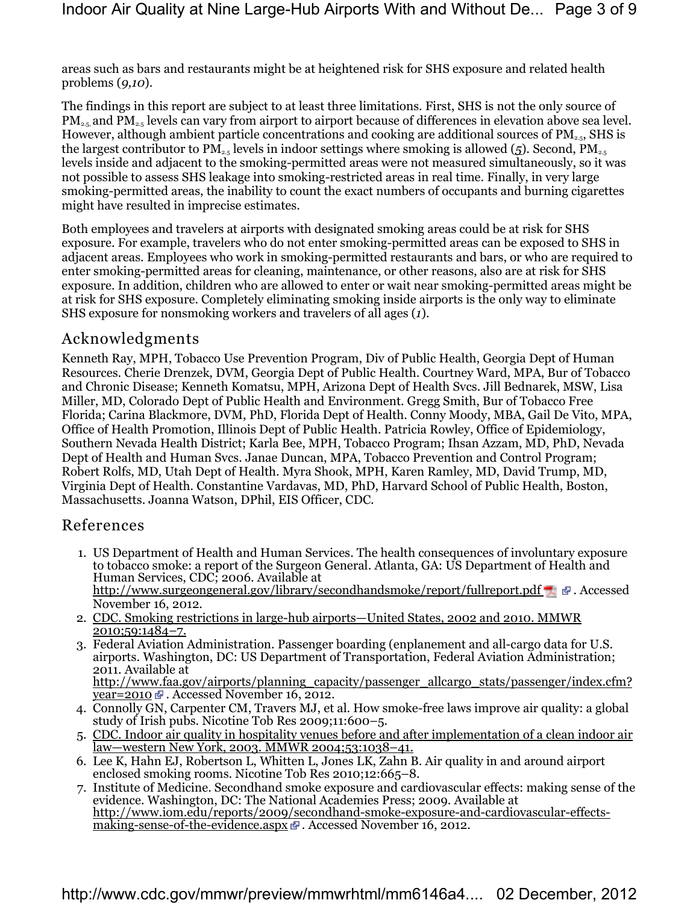areas such as bars and restaurants might be at heightened risk for SHS exposure and related health problems (*9,10*).

The findings in this report are subject to at least three limitations. First, SHS is not the only source of  $PM_{2.5}$  and  $PM_{2.5}$  levels can vary from airport to airport because of differences in elevation above sea level. However, although ambient particle concentrations and cooking are additional sources of  $PM_{2.5}$ , SHS is the largest contributor to  $PM_{2.5}$  levels in indoor settings where smoking is allowed ( $\sigma$ ). Second,  $PM_{2.5}$ levels inside and adjacent to the smoking-permitted areas were not measured simultaneously, so it was not possible to assess SHS leakage into smoking-restricted areas in real time. Finally, in very large smoking-permitted areas, the inability to count the exact numbers of occupants and burning cigarettes might have resulted in imprecise estimates.

Both employees and travelers at airports with designated smoking areas could be at risk for SHS exposure. For example, travelers who do not enter smoking-permitted areas can be exposed to SHS in adjacent areas. Employees who work in smoking-permitted restaurants and bars, or who are required to enter smoking-permitted areas for cleaning, maintenance, or other reasons, also are at risk for SHS exposure. In addition, children who are allowed to enter or wait near smoking-permitted areas might be at risk for SHS exposure. Completely eliminating smoking inside airports is the only way to eliminate SHS exposure for nonsmoking workers and travelers of all ages (*1*).

### Acknowledgments

Kenneth Ray, MPH, Tobacco Use Prevention Program, Div of Public Health, Georgia Dept of Human Resources. Cherie Drenzek, DVM, Georgia Dept of Public Health. Courtney Ward, MPA, Bur of Tobacco and Chronic Disease; Kenneth Komatsu, MPH, Arizona Dept of Health Svcs. Jill Bednarek, MSW, Lisa Miller, MD, Colorado Dept of Public Health and Environment. Gregg Smith, Bur of Tobacco Free Florida; Carina Blackmore, DVM, PhD, Florida Dept of Health. Conny Moody, MBA, Gail De Vito, MPA, Office of Health Promotion, Illinois Dept of Public Health. Patricia Rowley, Office of Epidemiology, Southern Nevada Health District; Karla Bee, MPH, Tobacco Program; Ihsan Azzam, MD, PhD, Nevada Dept of Health and Human Svcs. Janae Duncan, MPA, Tobacco Prevention and Control Program; Robert Rolfs, MD, Utah Dept of Health. Myra Shook, MPH, Karen Ramley, MD, David Trump, MD, Virginia Dept of Health. Constantine Vardavas, MD, PhD, Harvard School of Public Health, Boston, Massachusetts. Joanna Watson, DPhil, EIS Officer, CDC.

### References

- 1. US Department of Health and Human Services. The health consequences of involuntary exposure to tobacco smoke: a report of the Surgeon General. Atlanta, GA: US Department of Health and Human Services, CDC; 2006. Available at http://www.surgeongeneral.gov/library/secondhandsmoke/report/fullreport.pdf  $\blacksquare$   $\blacksquare$ . Accessed November 16, 2012.
- 2. CDC. Smoking restrictions in large-hub airports—United States, 2002 and 2010. MMWR 2010;59:1484–7.
- 3. Federal Aviation Administration. Passenger boarding (enplanement and all-cargo data for U.S. airports. Washington, DC: US Department of Transportation, Federal Aviation Administration; 2011. Available at http://www.faa.gov/airports/planning\_capacity/passenger\_allcargo\_stats/passenger/index.cfm?

 $\overline{year=2010}$   $\overline{w}$ . Accessed November 16, 2012.

- 4. Connolly GN, Carpenter CM, Travers MJ, et al. How smoke-free laws improve air quality: a global study of Irish pubs. Nicotine Tob Res 2009;11:600–5.
- 5. CDC. Indoor air quality in hospitality venues before and after implementation of a clean indoor air law—western New York, 2003. MMWR 2004;53:1038–41.
- 6. Lee K, Hahn EJ, Robertson L, Whitten L, Jones LK, Zahn B. Air quality in and around airport enclosed smoking rooms. Nicotine Tob Res 2010;12:665-8.
- 7. Institute of Medicine. Secondhand smoke exposure and cardiovascular effects: making sense of the evidence. Washington, DC: The National Academies Press; 2009. Available at http://www.iom.edu/reports/2009/secondhand-smoke-exposure-and-cardiovascular-effectsmaking-sense-of-the-evidence.aspx  $\mathbb F$ . Accessed November 16, 2012.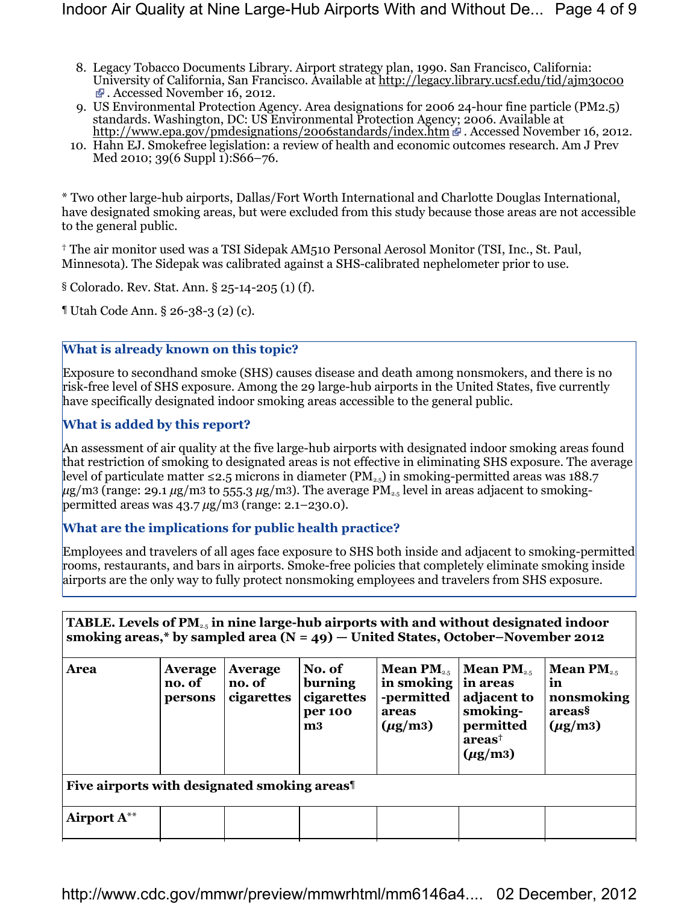- 8. Legacy Tobacco Documents Library. Airport strategy plan, 1990. San Francisco, California: University of California, San Francisco. Available at http://legacy.library.ucsf.edu/tid/ajm30c00 . Accessed November 16, 2012.
- 9. US Environmental Protection Agency. Area designations for 2006 24-hour fine particle (PM2.5) standards. Washington, DC: US Environmental Protection Agency; 2006. Available at http://www.epa.gov/pmdesignations/2006standards/index.htm # . Accessed November 16, 2012.
- 10. Hahn EJ. Smokefree legislation: a review of health and economic outcomes research. Am J Prev Med 2010; 39(6 Suppl  $\tilde{1}$ ):S66–76.

\* Two other large-hub airports, Dallas/Fort Worth International and Charlotte Douglas International, have designated smoking areas, but were excluded from this study because those areas are not accessible to the general public.

† The air monitor used was a TSI Sidepak AM510 Personal Aerosol Monitor (TSI, Inc., St. Paul, Minnesota). The Sidepak was calibrated against a SHS-calibrated nephelometer prior to use.

§ Colorado. Rev. Stat. Ann. § 25-14-205 (1) (f).

¶ Utah Code Ann. § 26-38-3 (2) (c).

### **What is already known on this topic?**

Exposure to secondhand smoke (SHS) causes disease and death among nonsmokers, and there is no risk-free level of SHS exposure. Among the 29 large-hub airports in the United States, five currently have specifically designated indoor smoking areas accessible to the general public.

### **What is added by this report?**

An assessment of air quality at the five large-hub airports with designated indoor smoking areas found that restriction of smoking to designated areas is not effective in eliminating SHS exposure. The average level of particulate matter ≤2.5 microns in diameter (PM<sub>2.5</sub>) in smoking-permitted areas was 188.7 *µ*g/m3 (range: 29.1 *µ*g/m3 to 555.3 *µ*g/m3). The average PM2.5 level in areas adjacent to smokingpermitted areas was 43.7 *µ*g/m3 (range: 2.1*–*230.0).

#### **What are the implications for public health practice?**

Employees and travelers of all ages face exposure to SHS both inside and adjacent to smoking-permitted rooms, restaurants, and bars in airports. Smoke-free policies that completely eliminate smoking inside airports are the only way to fully protect nonsmoking employees and travelers from SHS exposure.

| TABLE. Levels of $PM_{25}$ in nine large-hub airports with and without designated indoor<br>smoking areas,* by sampled area $(N = 49)$ – United States, October–November 2012 |                                     |                                 |                                                    |                                                                                    |                                                                                                                        |                                                                             |  |  |
|-------------------------------------------------------------------------------------------------------------------------------------------------------------------------------|-------------------------------------|---------------------------------|----------------------------------------------------|------------------------------------------------------------------------------------|------------------------------------------------------------------------------------------------------------------------|-----------------------------------------------------------------------------|--|--|
| Area                                                                                                                                                                          | <b>Average</b><br>no. of<br>persons | Average<br>no. of<br>cigarettes | No. of<br>burning<br>cigarettes<br>per 100<br>$m3$ | <b>Mean PM</b> <sub>2.5</sub><br>in smoking<br>-permitted<br>areas<br>$(\mu$ g/m3) | <b>Mean PM</b> <sub>2.5</sub><br>in areas<br>adjacent to<br>smoking-<br>permitted<br>area <sup>†</sup><br>$(\mu$ g/m3) | <b>Mean PM</b> <sub>2.5</sub><br>in<br>nonsmoking<br>areas§<br>$(\mu$ g/m3) |  |  |
| Five airports with designated smoking areas <sup>1</sup>                                                                                                                      |                                     |                                 |                                                    |                                                                                    |                                                                                                                        |                                                                             |  |  |
| Airport $A^{**}$                                                                                                                                                              |                                     |                                 |                                                    |                                                                                    |                                                                                                                        |                                                                             |  |  |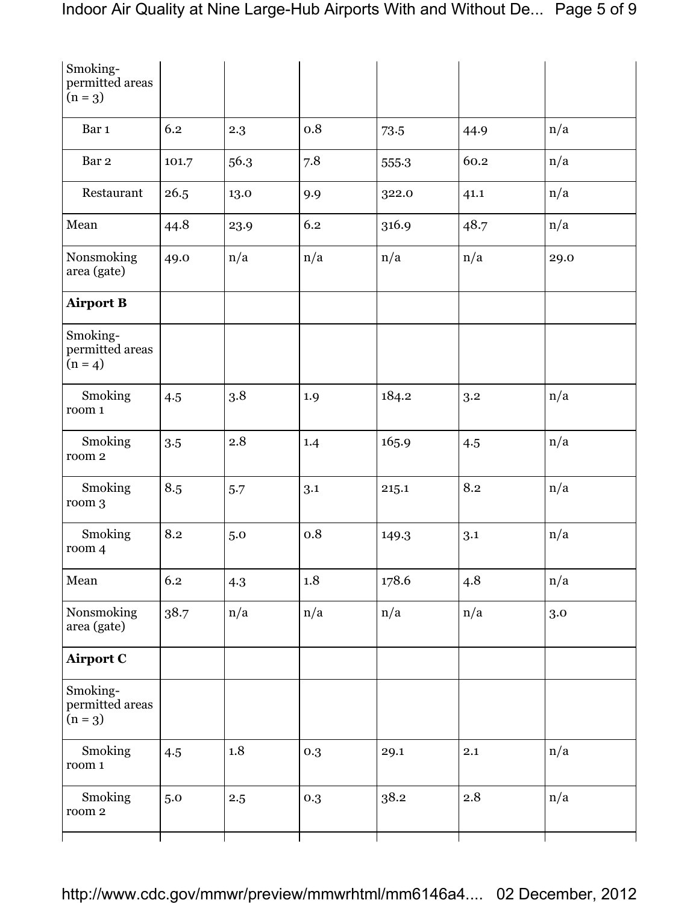| 6.2   | 2.3  | 0.8 | 73.5  | 44.9 | n/a  |
|-------|------|-----|-------|------|------|
| 101.7 | 56.3 | 7.8 | 555.3 | 60.2 | n/a  |
| 26.5  | 13.0 | 9.9 | 322.0 | 41.1 | n/a  |
| 44.8  | 23.9 | 6.2 | 316.9 | 48.7 | n/a  |
| 49.0  | n/a  | n/a | n/a   | n/a  | 29.0 |
|       |      |     |       |      |      |
|       |      |     |       |      |      |
| 4.5   | 3.8  | 1.9 | 184.2 | 3.2  | n/a  |
| 3.5   | 2.8  | 1.4 | 165.9 | 4.5  | n/a  |
| 8.5   | 5.7  | 3.1 | 215.1 | 8.2  | n/a  |
| 8.2   | 5.0  | 0.8 | 149.3 | 3.1  | n/a  |
| 6.2   | 4.3  | 1.8 | 178.6 | 4.8  | n/a  |
| 38.7  | n/a  | n/a | n/a   | n/a  | 3.0  |
|       |      |     |       |      |      |
|       |      |     |       |      |      |
| 4.5   | 1.8  | 0.3 | 29.1  | 2.1  | n/a  |
| 5.0   | 2.5  | 0.3 | 38.2  | 2.8  | n/a  |
|       |      |     |       |      |      |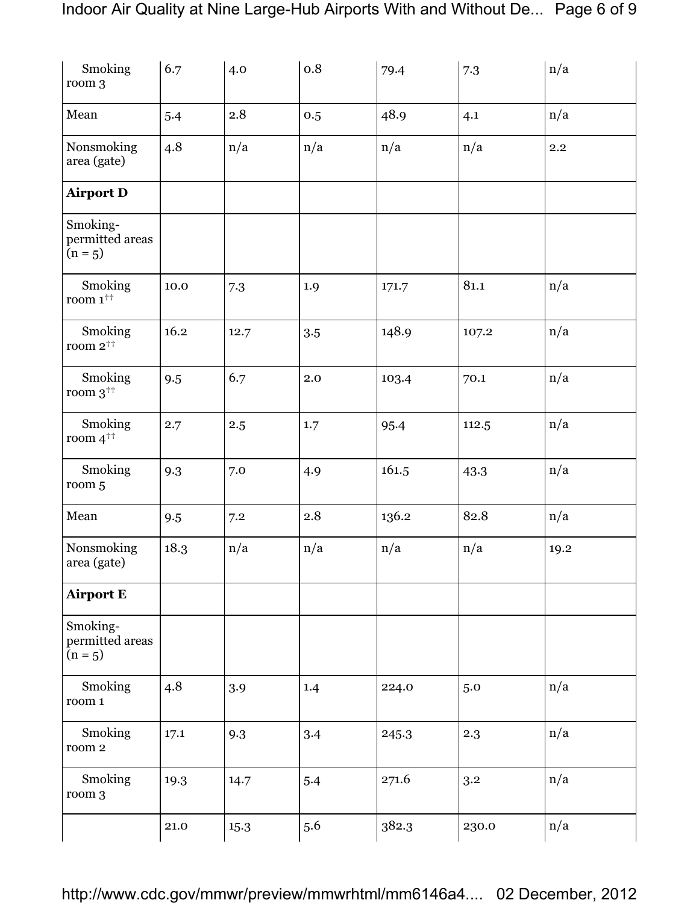| Smoking<br>room 3                        | 6.7  | 4.0  | 0.8 | 79.4  | 7.3   | n/a     |
|------------------------------------------|------|------|-----|-------|-------|---------|
| Mean                                     | 5.4  | 2.8  | 0.5 | 48.9  | 4.1   | n/a     |
| Nonsmoking<br>area (gate)                | 4.8  | n/a  | n/a | n/a   | n/a   | $2.2\,$ |
| <b>Airport D</b>                         |      |      |     |       |       |         |
| Smoking-<br>permitted areas<br>$(n = 5)$ |      |      |     |       |       |         |
| Smoking<br>room $1^{++}$                 | 10.0 | 7.3  | 1.9 | 171.7 | 81.1  | n/a     |
| Smoking<br>room $2^{++}$                 | 16.2 | 12.7 | 3.5 | 148.9 | 107.2 | n/a     |
| Smoking<br>room $3^{++}$                 | 9.5  | 6.7  | 2.0 | 103.4 | 70.1  | n/a     |
| Smoking<br>room $4^{++}$                 | 2.7  | 2.5  | 1.7 | 95.4  | 112.5 | n/a     |
| Smoking<br>room 5                        | 9.3  | 7.0  | 4.9 | 161.5 | 43.3  | n/a     |
| Mean                                     | 9.5  | 7.2  | 2.8 | 136.2 | 82.8  | n/a     |
| Nonsmoking<br>area (gate)                | 18.3 | n/a  | n/a | n/a   | n/a   | 19.2    |
| <b>Airport E</b>                         |      |      |     |       |       |         |
| Smoking-<br>permitted areas<br>$(n = 5)$ |      |      |     |       |       |         |
| Smoking<br>room 1                        | 4.8  | 3.9  | 1.4 | 224.0 | 5.0   | n/a     |
| Smoking<br>room 2                        | 17.1 | 9.3  | 3.4 | 245.3 | 2.3   | n/a     |
| Smoking<br>room 3                        | 19.3 | 14.7 | 5.4 | 271.6 | 3.2   | n/a     |
|                                          | 21.0 | 15.3 | 5.6 | 382.3 | 230.0 | n/a     |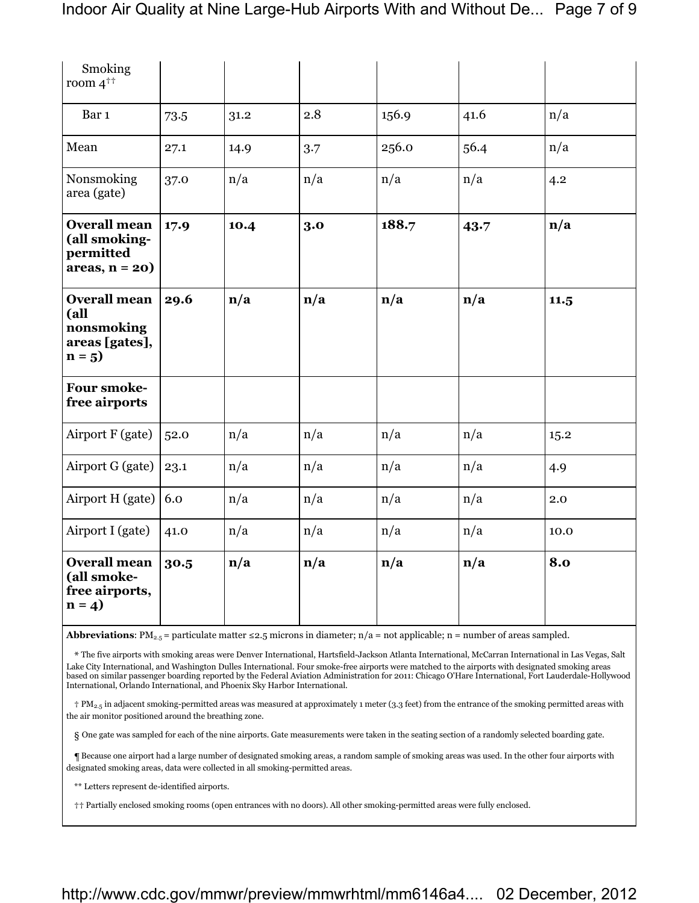| Smoking<br>room $4^{\dagger \dagger}$                                  |      |      |     |                         |                         |                         |
|------------------------------------------------------------------------|------|------|-----|-------------------------|-------------------------|-------------------------|
| Bar 1                                                                  | 73.5 | 31.2 | 2.8 | 156.9                   | 41.6                    | n/a                     |
| Mean                                                                   | 27.1 | 14.9 | 3.7 | 256.0                   | 56.4                    | n/a                     |
| Nonsmoking<br>area (gate)                                              | 37.0 | n/a  | n/a | n/a                     | n/a                     | 4.2                     |
| <b>Overall mean</b><br>(all smoking-<br>permitted<br>$areas, n = 20)$  | 17.9 | 10.4 | 3.0 | 188.7                   | 43.7                    | $\mathbf{n}/\mathbf{a}$ |
| <b>Overall mean</b><br>(all<br>nonsmoking<br>areas [gates],<br>$n = 5$ | 29.6 | n/a  | n/a | $\mathbf{n}/\mathbf{a}$ | n/a                     | 11.5                    |
| <b>Four smoke-</b><br>free airports                                    |      |      |     |                         |                         |                         |
| Airport F (gate)                                                       | 52.0 | n/a  | n/a | n/a                     | n/a                     | 15.2                    |
| Airport G (gate)                                                       | 23.1 | n/a  | n/a | n/a                     | n/a                     | 4.9                     |
| Airport H (gate)                                                       | 6.0  | n/a  | n/a | n/a                     | n/a                     | 2.0                     |
| Airport I (gate)                                                       | 41.0 | n/a  | n/a | n/a                     | n/a                     | 10.0                    |
| <b>Overall mean</b><br>(all smoke-<br>free airports,<br>$n = 4$        | 30.5 | n/a  | n/a | $\mathbf{n}/\mathbf{a}$ | $\mathbf{n}/\mathbf{a}$ | 8.0                     |

**Abbreviations:** PM<sub>2.5</sub> = particulate matter ≤2.5 microns in diameter;  $n/a$  = not applicable; n = number of areas sampled.

\* The five airports with smoking areas were Denver International, Hartsfield-Jackson Atlanta International, McCarran International in Las Vegas, Salt Lake City International, and Washington Dulles International. Four smoke-free airports were matched to the airports with designated smoking areas based on similar passenger boarding reported by the Federal Aviation Administration for 2011: Chicago O'Hare International, Fort Lauderdale-Hollywood International, Orlando International, and Phoenix Sky Harbor International.

† PM2.5 in adjacent smoking-permitted areas was measured at approximately 1 meter (3.3 feet) from the entrance of the smoking permitted areas with the air monitor positioned around the breathing zone.

§ One gate was sampled for each of the nine airports. Gate measurements were taken in the seating section of a randomly selected boarding gate.

¶ Because one airport had a large number of designated smoking areas, a random sample of smoking areas was used. In the other four airports with designated smoking areas, data were collected in all smoking-permitted areas.

\*\* Letters represent de-identified airports.

†† Partially enclosed smoking rooms (open entrances with no doors). All other smoking-permitted areas were fully enclosed.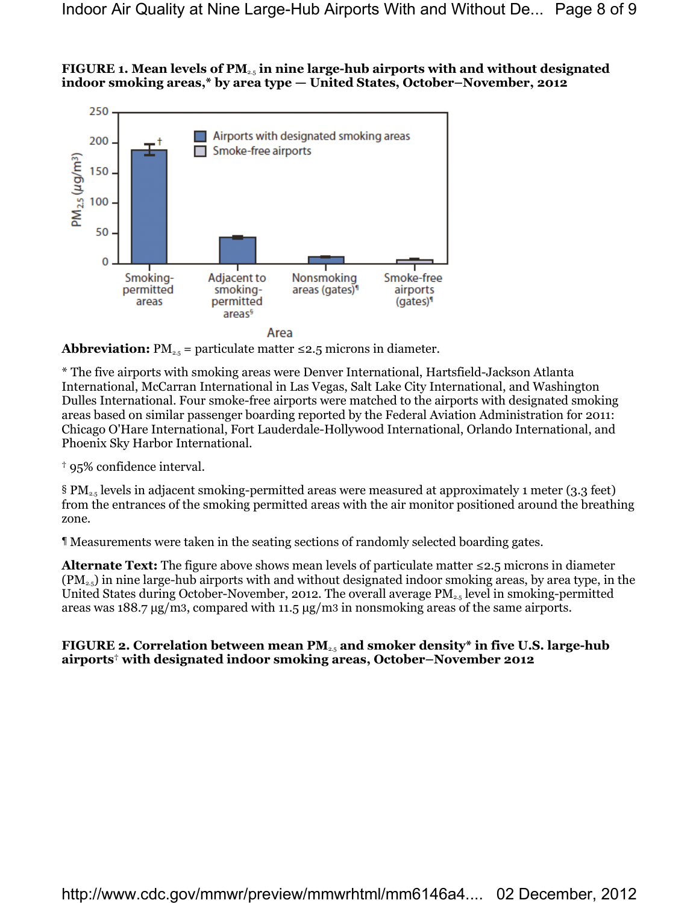### **FIGURE 1. Mean levels of PM**2.5 **in nine large-hub airports with and without designated indoor smoking areas,\* by area type — United States, October–November, 2012**



Area

**Abbreviation:**  $PM_{2.5}$  = particulate matter  $\leq 2.5$  microns in diameter.

\* The five airports with smoking areas were Denver International, Hartsfield-Jackson Atlanta International, McCarran International in Las Vegas, Salt Lake City International, and Washington Dulles International. Four smoke-free airports were matched to the airports with designated smoking areas based on similar passenger boarding reported by the Federal Aviation Administration for 2011: Chicago O'Hare International, Fort Lauderdale-Hollywood International, Orlando International, and Phoenix Sky Harbor International.

† 95% confidence interval.

§ PM2.5 levels in adjacent smoking-permitted areas were measured at approximately 1 meter (3.3 feet) from the entrances of the smoking permitted areas with the air monitor positioned around the breathing zone.

¶ Measurements were taken in the seating sections of randomly selected boarding gates.

**Alternate Text:** The figure above shows mean levels of particulate matter ≤2.5 microns in diameter  $(PM_{2.5})$  in nine large-hub airports with and without designated indoor smoking areas, by area type, in the United States during October-November, 2012. The overall average  $PM_{2.5}$  level in smoking-permitted areas was 188.7 μg/m3, compared with 11.5 μg/m3 in nonsmoking areas of the same airports.

#### **FIGURE 2. Correlation between mean PM**2.5 **and smoker density\* in five U.S. large-hub airports**† **with designated indoor smoking areas, October–November 2012**